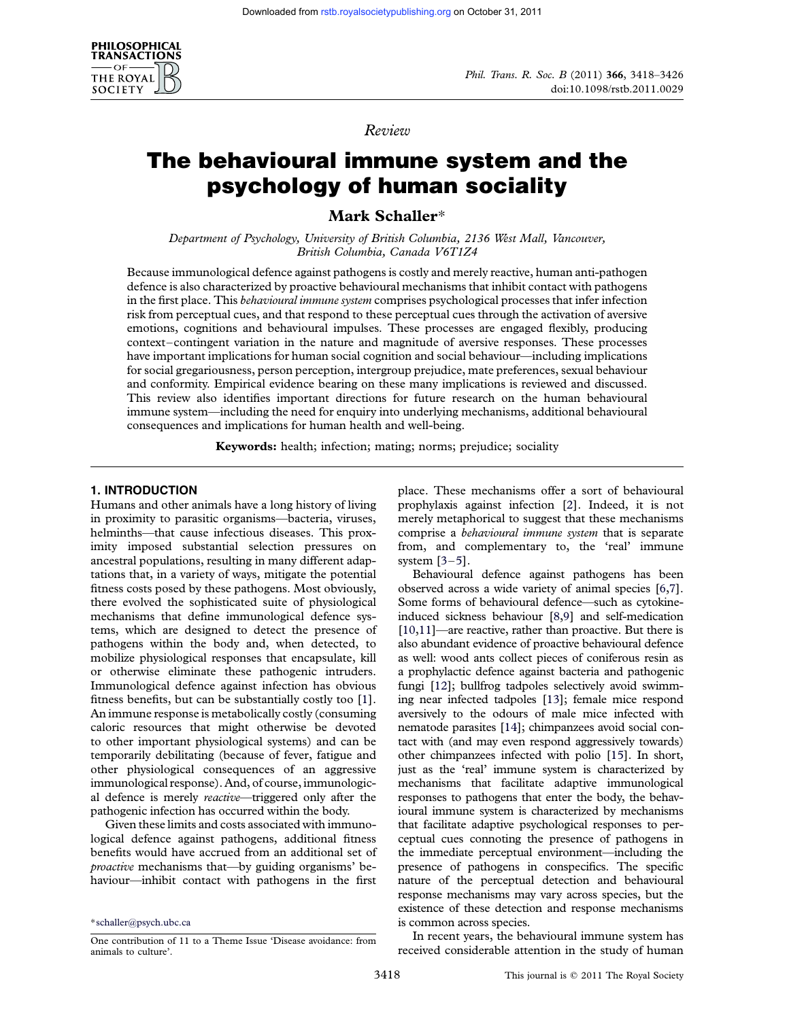

*Review*

# The behavioural immune system and the psychology of human sociality

Mark Schaller\*

*Department of Psychology, University of British Columbia, 2136 West Mall, Vancouver, British Columbia, Canada V6T1Z4*

Because immunological defence against pathogens is costly and merely reactive, human anti-pathogen defence is also characterized by proactive behavioural mechanisms that inhibit contact with pathogens in the first place. This *behavioural immune system* comprises psychological processes that infer infection risk from perceptual cues, and that respond to these perceptual cues through the activation of aversive emotions, cognitions and behavioural impulses. These processes are engaged flexibly, producing context–contingent variation in the nature and magnitude of aversive responses. These processes have important implications for human social cognition and social behaviour—including implications for social gregariousness, person perception, intergroup prejudice, mate preferences, sexual behaviour and conformity. Empirical evidence bearing on these many implications is reviewed and discussed. This review also identifies important directions for future research on the human behavioural immune system—including the need for enquiry into underlying mechanisms, additional behavioural consequences and implications for human health and well-being.

Keywords: health; infection; mating; norms; prejudice; sociality

#### 1. INTRODUCTION

Humans and other animals have a long history of living in proximity to parasitic organisms—bacteria, viruses, helminths—that cause infectious diseases. This proximity imposed substantial selection pressures on ancestral populations, resulting in many different adaptations that, in a variety of ways, mitigate the potential fitness costs posed by these pathogens. Most obviously, there evolved the sophisticated suite of physiological mechanisms that define immunological defence systems, which are designed to detect the presence of pathogens within the body and, when detected, to mobilize physiological responses that encapsulate, kill or otherwise eliminate these pathogenic intruders. Immunological defence against infection has obvious fitness benefits, but can be substantially costly too [1]. An immune response is metabolically costly (consuming caloric resources that might otherwise be devoted to other important physiological systems) and can be temporarily debilitating (because of fever, fatigue and other physiological consequences of an aggressive immunological response). And, of course, immunological defence is merely *reactive*—triggered only after the pathogenic infection has occurred within the body.

Given these limits and costs associated with immunological defence against pathogens, additional fitness benefits would have accrued from an additional set of *proactive* mechanisms that—by guiding organisms' behaviour—inhibit contact with pathogens in the first

place. These mechanisms offer a sort of behavioural prophylaxis against infection [2]. Indeed, it is not merely metaphorical to suggest that these mechanisms comprise a *behavioural immune system* that is separate from, and complementary to, the 'real' immune system  $[3-5]$ .

Behavioural defence against pathogens has been observed across a wide variety of animal species [6,7]. Some forms of behavioural defence—such as cytokineinduced sickness behaviour [8,9] and self-medication [10,11]—are reactive, rather than proactive. But there is also abundant evidence of proactive behavioural defence as well: wood ants collect pieces of coniferous resin as a prophylactic defence against bacteria and pathogenic fungi [12]; bullfrog tadpoles selectively avoid swimming near infected tadpoles [13]; female mice respond aversively to the odours of male mice infected with nematode parasites [14]; chimpanzees avoid social contact with (and may even respond aggressively towards) other chimpanzees infected with polio [15]. In short, just as the 'real' immune system is characterized by mechanisms that facilitate adaptive immunological responses to pathogens that enter the body, the behavioural immune system is characterized by mechanisms that facilitate adaptive psychological responses to perceptual cues connoting the presence of pathogens in the immediate perceptual environment—including the presence of pathogens in conspecifics. The specific nature of the perceptual detection and behavioural response mechanisms may vary across species, but the existence of these detection and response mechanisms is common across species.

In recent years, the behavioural immune system has received considerable attention in the study of human

<sup>\*</sup>schaller@psych.ubc.ca

One contribution of 11 to a Theme Issue 'Disease avoidance: from animals to culture'.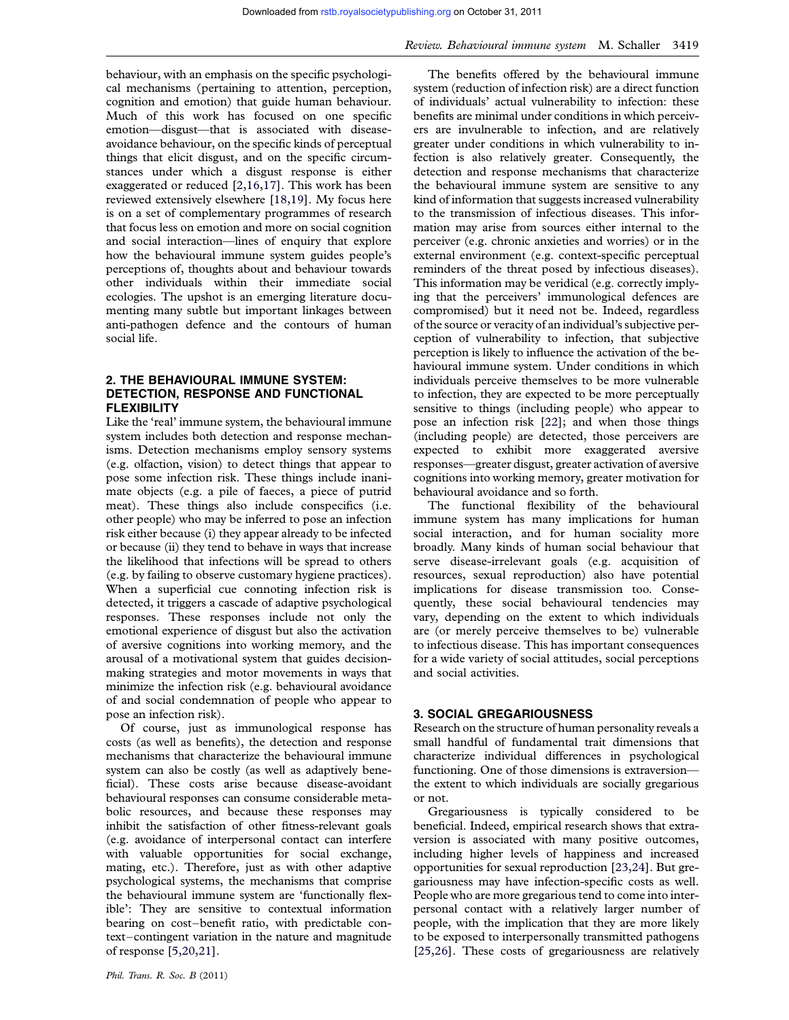behaviour, with an emphasis on the specific psychological mechanisms (pertaining to attention, perception, cognition and emotion) that guide human behaviour. Much of this work has focused on one specific emotion—disgust—that is associated with diseaseavoidance behaviour, on the specific kinds of perceptual things that elicit disgust, and on the specific circumstances under which a disgust response is either exaggerated or reduced [2,16,17]. This work has been reviewed extensively elsewhere [18,19]. My focus here is on a set of complementary programmes of research that focus less on emotion and more on social cognition and social interaction—lines of enquiry that explore how the behavioural immune system guides people's perceptions of, thoughts about and behaviour towards other individuals within their immediate social ecologies. The upshot is an emerging literature documenting many subtle but important linkages between anti-pathogen defence and the contours of human social life.

### 2. THE BEHAVIOURAL IMMUNE SYSTEM: DETECTION, RESPONSE AND FUNCTIONAL FI FXIRII ITY

Like the 'real' immune system, the behavioural immune system includes both detection and response mechanisms. Detection mechanisms employ sensory systems (e.g. olfaction, vision) to detect things that appear to pose some infection risk. These things include inanimate objects (e.g. a pile of faeces, a piece of putrid meat). These things also include conspecifics (i.e. other people) who may be inferred to pose an infection risk either because (i) they appear already to be infected or because (ii) they tend to behave in ways that increase the likelihood that infections will be spread to others (e.g. by failing to observe customary hygiene practices). When a superficial cue connoting infection risk is detected, it triggers a cascade of adaptive psychological responses. These responses include not only the emotional experience of disgust but also the activation of aversive cognitions into working memory, and the arousal of a motivational system that guides decisionmaking strategies and motor movements in ways that minimize the infection risk (e.g. behavioural avoidance of and social condemnation of people who appear to pose an infection risk).

Of course, just as immunological response has costs (as well as benefits), the detection and response mechanisms that characterize the behavioural immune system can also be costly (as well as adaptively beneficial). These costs arise because disease-avoidant behavioural responses can consume considerable metabolic resources, and because these responses may inhibit the satisfaction of other fitness-relevant goals (e.g. avoidance of interpersonal contact can interfere with valuable opportunities for social exchange, mating, etc.). Therefore, just as with other adaptive psychological systems, the mechanisms that comprise the behavioural immune system are 'functionally flexible': They are sensitive to contextual information bearing on cost–benefit ratio, with predictable context–contingent variation in the nature and magnitude of response [5,20,21].

The benefits offered by the behavioural immune system (reduction of infection risk) are a direct function of individuals' actual vulnerability to infection: these benefits are minimal under conditions in which perceivers are invulnerable to infection, and are relatively greater under conditions in which vulnerability to infection is also relatively greater. Consequently, the detection and response mechanisms that characterize the behavioural immune system are sensitive to any kind of information that suggests increased vulnerability to the transmission of infectious diseases. This information may arise from sources either internal to the perceiver (e.g. chronic anxieties and worries) or in the external environment (e.g. context-specific perceptual reminders of the threat posed by infectious diseases). This information may be veridical (e.g. correctly implying that the perceivers' immunological defences are compromised) but it need not be. Indeed, regardless of the source or veracity of an individual's subjective perception of vulnerability to infection, that subjective perception is likely to influence the activation of the behavioural immune system. Under conditions in which individuals perceive themselves to be more vulnerable to infection, they are expected to be more perceptually sensitive to things (including people) who appear to pose an infection risk [22]; and when those things (including people) are detected, those perceivers are expected to exhibit more exaggerated aversive responses—greater disgust, greater activation of aversive cognitions into working memory, greater motivation for behavioural avoidance and so forth.

The functional flexibility of the behavioural immune system has many implications for human social interaction, and for human sociality more broadly. Many kinds of human social behaviour that serve disease-irrelevant goals (e.g. acquisition of resources, sexual reproduction) also have potential implications for disease transmission too. Consequently, these social behavioural tendencies may vary, depending on the extent to which individuals are (or merely perceive themselves to be) vulnerable to infectious disease. This has important consequences for a wide variety of social attitudes, social perceptions and social activities.

#### 3. SOCIAL GREGARIOUSNESS

Research on the structure of human personality reveals a small handful of fundamental trait dimensions that characterize individual differences in psychological functioning. One of those dimensions is extraversion the extent to which individuals are socially gregarious or not.

Gregariousness is typically considered to be beneficial. Indeed, empirical research shows that extraversion is associated with many positive outcomes, including higher levels of happiness and increased opportunities for sexual reproduction [23,24]. But gregariousness may have infection-specific costs as well. People who are more gregarious tend to come into interpersonal contact with a relatively larger number of people, with the implication that they are more likely to be exposed to interpersonally transmitted pathogens [25,26]. These costs of gregariousness are relatively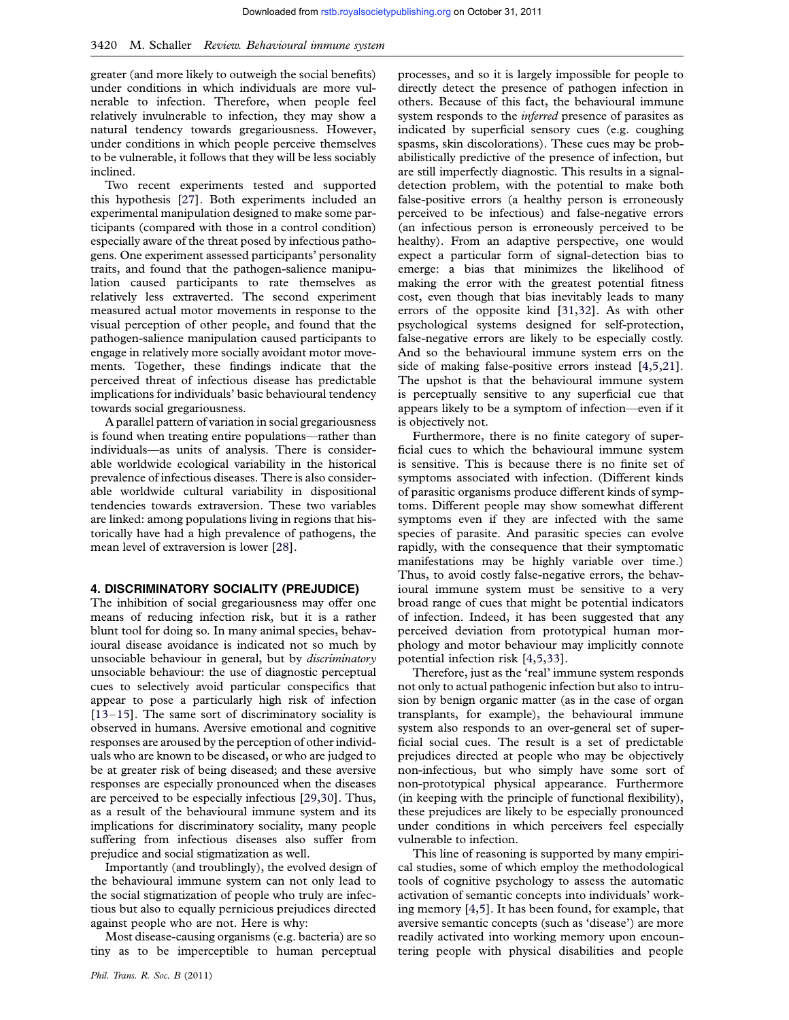greater (and more likely to outweigh the social benefits) under conditions in which individuals are more vulnerable to infection. Therefore, when people feel relatively invulnerable to infection, they may show a natural tendency towards gregariousness. However, under conditions in which people perceive themselves to be vulnerable, it follows that they will be less sociably inclined.

Two recent experiments tested and supported this hypothesis [27]. Both experiments included an experimental manipulation designed to make some participants (compared with those in a control condition) especially aware of the threat posed by infectious pathogens. One experiment assessed participants' personality traits, and found that the pathogen-salience manipulation caused participants to rate themselves as relatively less extraverted. The second experiment measured actual motor movements in response to the visual perception of other people, and found that the pathogen-salience manipulation caused participants to engage in relatively more socially avoidant motor movements. Together, these findings indicate that the perceived threat of infectious disease has predictable implications for individuals' basic behavioural tendency towards social gregariousness.

A parallel pattern of variation in social gregariousness is found when treating entire populations—rather than individuals—as units of analysis. There is considerable worldwide ecological variability in the historical prevalence of infectious diseases. There is also considerable worldwide cultural variability in dispositional tendencies towards extraversion. These two variables are linked: among populations living in regions that historically have had a high prevalence of pathogens, the mean level of extraversion is lower [28].

#### 4. DISCRIMINATORY SOCIALITY (PREJUDICE)

The inhibition of social gregariousness may offer one means of reducing infection risk, but it is a rather blunt tool for doing so. In many animal species, behavioural disease avoidance is indicated not so much by unsociable behaviour in general, but by *discriminatory* unsociable behaviour: the use of diagnostic perceptual cues to selectively avoid particular conspecifics that appear to pose a particularly high risk of infection [13–15]. The same sort of discriminatory sociality is observed in humans. Aversive emotional and cognitive responses are aroused by the perception of other individuals who are known to be diseased, or who are judged to be at greater risk of being diseased; and these aversive responses are especially pronounced when the diseases are perceived to be especially infectious [29,30]. Thus, as a result of the behavioural immune system and its implications for discriminatory sociality, many people suffering from infectious diseases also suffer from prejudice and social stigmatization as well.

Importantly (and troublingly), the evolved design of the behavioural immune system can not only lead to the social stigmatization of people who truly are infectious but also to equally pernicious prejudices directed against people who are not. Here is why:

Most disease-causing organisms (e.g. bacteria) are so tiny as to be imperceptible to human perceptual

*Phil. Trans. R. Soc. B* (2011)

processes, and so it is largely impossible for people to directly detect the presence of pathogen infection in others. Because of this fact, the behavioural immune system responds to the *inferred* presence of parasites as indicated by superficial sensory cues (e.g. coughing spasms, skin discolorations). These cues may be probabilistically predictive of the presence of infection, but are still imperfectly diagnostic. This results in a signaldetection problem, with the potential to make both false-positive errors (a healthy person is erroneously perceived to be infectious) and false-negative errors (an infectious person is erroneously perceived to be healthy). From an adaptive perspective, one would expect a particular form of signal-detection bias to emerge: a bias that minimizes the likelihood of making the error with the greatest potential fitness cost, even though that bias inevitably leads to many errors of the opposite kind [31,32]. As with other psychological systems designed for self-protection, false-negative errors are likely to be especially costly. And so the behavioural immune system errs on the side of making false-positive errors instead [4,5,21]. The upshot is that the behavioural immune system is perceptually sensitive to any superficial cue that appears likely to be a symptom of infection—even if it is objectively not.

Furthermore, there is no finite category of superficial cues to which the behavioural immune system is sensitive. This is because there is no finite set of symptoms associated with infection. (Different kinds of parasitic organisms produce different kinds of symptoms. Different people may show somewhat different symptoms even if they are infected with the same species of parasite. And parasitic species can evolve rapidly, with the consequence that their symptomatic manifestations may be highly variable over time.) Thus, to avoid costly false-negative errors, the behavioural immune system must be sensitive to a very broad range of cues that might be potential indicators of infection. Indeed, it has been suggested that any perceived deviation from prototypical human morphology and motor behaviour may implicitly connote potential infection risk [4,5,33].

Therefore, just as the 'real' immune system responds not only to actual pathogenic infection but also to intrusion by benign organic matter (as in the case of organ transplants, for example), the behavioural immune system also responds to an over-general set of superficial social cues. The result is a set of predictable prejudices directed at people who may be objectively non-infectious, but who simply have some sort of non-prototypical physical appearance. Furthermore (in keeping with the principle of functional flexibility), these prejudices are likely to be especially pronounced under conditions in which perceivers feel especially vulnerable to infection.

This line of reasoning is supported by many empirical studies, some of which employ the methodological tools of cognitive psychology to assess the automatic activation of semantic concepts into individuals' working memory [4,5]. It has been found, for example, that aversive semantic concepts (such as 'disease') are more readily activated into working memory upon encountering people with physical disabilities and people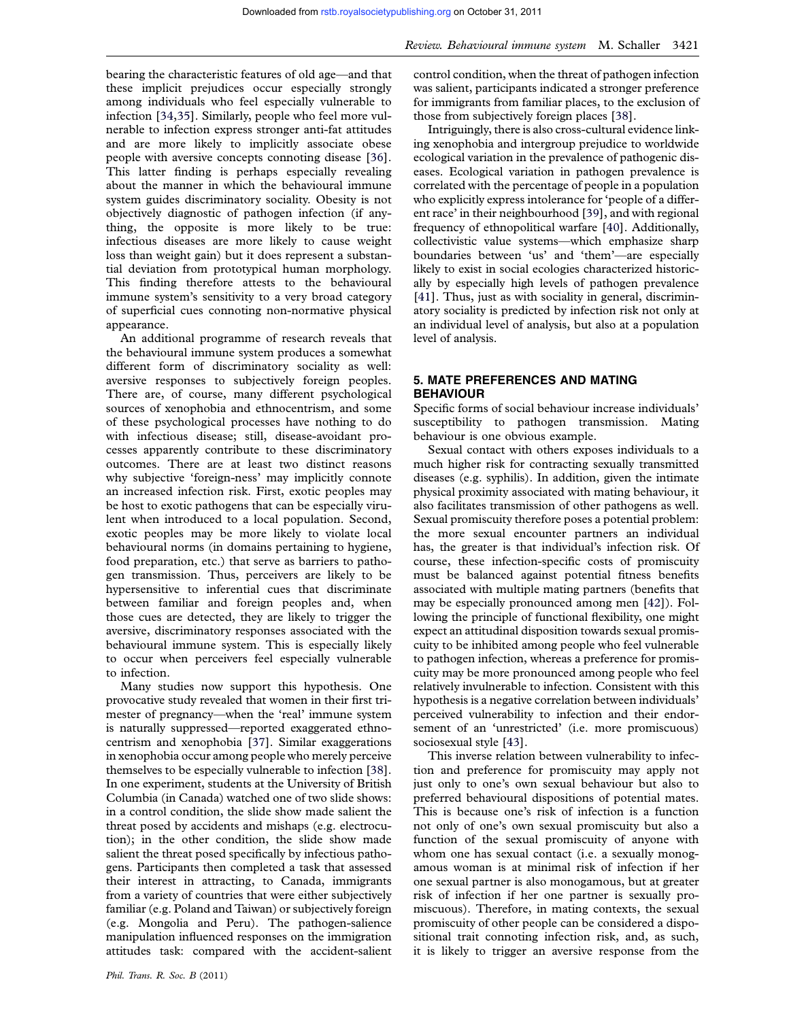bearing the characteristic features of old age—and that these implicit prejudices occur especially strongly among individuals who feel especially vulnerable to infection [34,35]. Similarly, people who feel more vulnerable to infection express stronger anti-fat attitudes and are more likely to implicitly associate obese people with aversive concepts connoting disease [36]. This latter finding is perhaps especially revealing about the manner in which the behavioural immune system guides discriminatory sociality. Obesity is not objectively diagnostic of pathogen infection (if anything, the opposite is more likely to be true: infectious diseases are more likely to cause weight loss than weight gain) but it does represent a substantial deviation from prototypical human morphology. This finding therefore attests to the behavioural immune system's sensitivity to a very broad category of superficial cues connoting non-normative physical appearance.

An additional programme of research reveals that the behavioural immune system produces a somewhat different form of discriminatory sociality as well: aversive responses to subjectively foreign peoples. There are, of course, many different psychological sources of xenophobia and ethnocentrism, and some of these psychological processes have nothing to do with infectious disease; still, disease-avoidant processes apparently contribute to these discriminatory outcomes. There are at least two distinct reasons why subjective 'foreign-ness' may implicitly connote an increased infection risk. First, exotic peoples may be host to exotic pathogens that can be especially virulent when introduced to a local population. Second, exotic peoples may be more likely to violate local behavioural norms (in domains pertaining to hygiene, food preparation, etc.) that serve as barriers to pathogen transmission. Thus, perceivers are likely to be hypersensitive to inferential cues that discriminate between familiar and foreign peoples and, when those cues are detected, they are likely to trigger the aversive, discriminatory responses associated with the behavioural immune system. This is especially likely to occur when perceivers feel especially vulnerable to infection.

Many studies now support this hypothesis. One provocative study revealed that women in their first trimester of pregnancy—when the 'real' immune system is naturally suppressed—reported exaggerated ethnocentrism and xenophobia [37]. Similar exaggerations in xenophobia occur among people who merely perceive themselves to be especially vulnerable to infection [38]. In one experiment, students at the University of British Columbia (in Canada) watched one of two slide shows: in a control condition, the slide show made salient the threat posed by accidents and mishaps (e.g. electrocution); in the other condition, the slide show made salient the threat posed specifically by infectious pathogens. Participants then completed a task that assessed their interest in attracting, to Canada, immigrants from a variety of countries that were either subjectively familiar (e.g. Poland and Taiwan) or subjectively foreign (e.g. Mongolia and Peru). The pathogen-salience manipulation influenced responses on the immigration attitudes task: compared with the accident-salient control condition, when the threat of pathogen infection was salient, participants indicated a stronger preference for immigrants from familiar places, to the exclusion of those from subjectively foreign places [38].

Intriguingly, there is also cross-cultural evidence linking xenophobia and intergroup prejudice to worldwide ecological variation in the prevalence of pathogenic diseases. Ecological variation in pathogen prevalence is correlated with the percentage of people in a population who explicitly express intolerance for 'people of a different race' in their neighbourhood [39], and with regional frequency of ethnopolitical warfare [40]. Additionally, collectivistic value systems—which emphasize sharp boundaries between 'us' and 'them'—are especially likely to exist in social ecologies characterized historically by especially high levels of pathogen prevalence [41]. Thus, just as with sociality in general, discriminatory sociality is predicted by infection risk not only at an individual level of analysis, but also at a population level of analysis.

#### 5. MATE PREFERENCES AND MATING **BEHAVIOUR**

Specific forms of social behaviour increase individuals' susceptibility to pathogen transmission. Mating behaviour is one obvious example.

Sexual contact with others exposes individuals to a much higher risk for contracting sexually transmitted diseases (e.g. syphilis). In addition, given the intimate physical proximity associated with mating behaviour, it also facilitates transmission of other pathogens as well. Sexual promiscuity therefore poses a potential problem: the more sexual encounter partners an individual has, the greater is that individual's infection risk. Of course, these infection-specific costs of promiscuity must be balanced against potential fitness benefits associated with multiple mating partners (benefits that may be especially pronounced among men [42]). Following the principle of functional flexibility, one might expect an attitudinal disposition towards sexual promiscuity to be inhibited among people who feel vulnerable to pathogen infection, whereas a preference for promiscuity may be more pronounced among people who feel relatively invulnerable to infection. Consistent with this hypothesis is a negative correlation between individuals' perceived vulnerability to infection and their endorsement of an 'unrestricted' (i.e. more promiscuous) sociosexual style [43].

This inverse relation between vulnerability to infection and preference for promiscuity may apply not just only to one's own sexual behaviour but also to preferred behavioural dispositions of potential mates. This is because one's risk of infection is a function not only of one's own sexual promiscuity but also a function of the sexual promiscuity of anyone with whom one has sexual contact (i.e. a sexually monogamous woman is at minimal risk of infection if her one sexual partner is also monogamous, but at greater risk of infection if her one partner is sexually promiscuous). Therefore, in mating contexts, the sexual promiscuity of other people can be considered a dispositional trait connoting infection risk, and, as such, it is likely to trigger an aversive response from the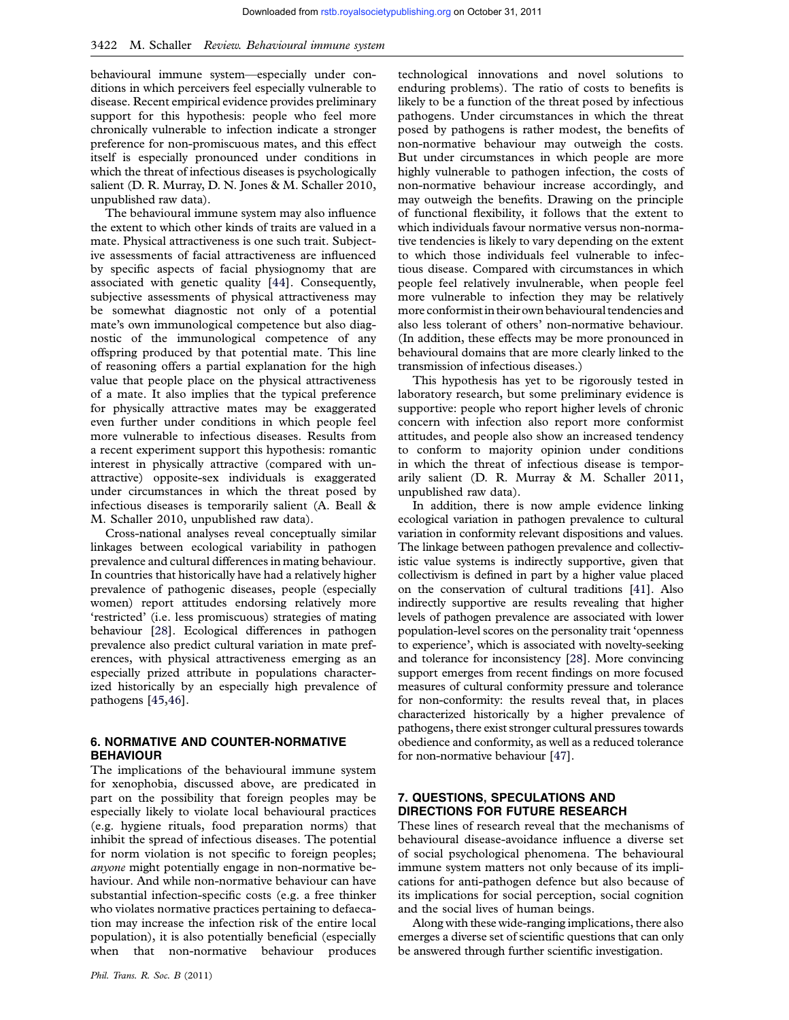behavioural immune system—especially under conditions in which perceivers feel especially vulnerable to disease. Recent empirical evidence provides preliminary support for this hypothesis: people who feel more chronically vulnerable to infection indicate a stronger preference for non-promiscuous mates, and this effect itself is especially pronounced under conditions in which the threat of infectious diseases is psychologically salient (D. R. Murray, D. N. Jones & M. Schaller 2010, unpublished raw data).

The behavioural immune system may also influence the extent to which other kinds of traits are valued in a mate. Physical attractiveness is one such trait. Subjective assessments of facial attractiveness are influenced by specific aspects of facial physiognomy that are associated with genetic quality [44]. Consequently, subjective assessments of physical attractiveness may be somewhat diagnostic not only of a potential mate's own immunological competence but also diagnostic of the immunological competence of any offspring produced by that potential mate. This line of reasoning offers a partial explanation for the high value that people place on the physical attractiveness of a mate. It also implies that the typical preference for physically attractive mates may be exaggerated even further under conditions in which people feel more vulnerable to infectious diseases. Results from a recent experiment support this hypothesis: romantic interest in physically attractive (compared with unattractive) opposite-sex individuals is exaggerated under circumstances in which the threat posed by infectious diseases is temporarily salient (A. Beall & M. Schaller 2010, unpublished raw data).

Cross-national analyses reveal conceptually similar linkages between ecological variability in pathogen prevalence and cultural differences in mating behaviour. In countries that historically have had a relatively higher prevalence of pathogenic diseases, people (especially women) report attitudes endorsing relatively more 'restricted' (i.e. less promiscuous) strategies of mating behaviour [28]. Ecological differences in pathogen prevalence also predict cultural variation in mate preferences, with physical attractiveness emerging as an especially prized attribute in populations characterized historically by an especially high prevalence of pathogens [45,46].

#### 6. NORMATIVE AND COUNTER-NORMATIVE **BEHAVIOUR**

The implications of the behavioural immune system for xenophobia, discussed above, are predicated in part on the possibility that foreign peoples may be especially likely to violate local behavioural practices (e.g. hygiene rituals, food preparation norms) that inhibit the spread of infectious diseases. The potential for norm violation is not specific to foreign peoples; *anyone* might potentially engage in non-normative behaviour. And while non-normative behaviour can have substantial infection-specific costs (e.g. a free thinker who violates normative practices pertaining to defaecation may increase the infection risk of the entire local population), it is also potentially beneficial (especially when that non-normative behaviour produces

non-normative behaviour may outweigh the costs. But under circumstances in which people are more highly vulnerable to pathogen infection, the costs of non-normative behaviour increase accordingly, and may outweigh the benefits. Drawing on the principle of functional flexibility, it follows that the extent to which individuals favour normative versus non-normative tendencies is likely to vary depending on the extent to which those individuals feel vulnerable to infectious disease. Compared with circumstances in which people feel relatively invulnerable, when people feel more vulnerable to infection they may be relatively more conformistin their own behavioural tendencies and also less tolerant of others' non-normative behaviour. (In addition, these effects may be more pronounced in behavioural domains that are more clearly linked to the transmission of infectious diseases.) This hypothesis has yet to be rigorously tested in

laboratory research, but some preliminary evidence is supportive: people who report higher levels of chronic concern with infection also report more conformist attitudes, and people also show an increased tendency to conform to majority opinion under conditions in which the threat of infectious disease is temporarily salient (D. R. Murray & M. Schaller 2011, unpublished raw data).

technological innovations and novel solutions to enduring problems). The ratio of costs to benefits is likely to be a function of the threat posed by infectious pathogens. Under circumstances in which the threat posed by pathogens is rather modest, the benefits of

In addition, there is now ample evidence linking ecological variation in pathogen prevalence to cultural variation in conformity relevant dispositions and values. The linkage between pathogen prevalence and collectivistic value systems is indirectly supportive, given that collectivism is defined in part by a higher value placed on the conservation of cultural traditions [41]. Also indirectly supportive are results revealing that higher levels of pathogen prevalence are associated with lower population-level scores on the personality trait 'openness to experience', which is associated with novelty-seeking and tolerance for inconsistency [28]. More convincing support emerges from recent findings on more focused measures of cultural conformity pressure and tolerance for non-conformity: the results reveal that, in places characterized historically by a higher prevalence of pathogens, there exist stronger cultural pressures towards obedience and conformity, as well as a reduced tolerance for non-normative behaviour [47].

## 7. QUESTIONS, SPECULATIONS AND DIRECTIONS FOR FUTURE RESEARCH

These lines of research reveal that the mechanisms of behavioural disease-avoidance influence a diverse set of social psychological phenomena. The behavioural immune system matters not only because of its implications for anti-pathogen defence but also because of its implications for social perception, social cognition and the social lives of human beings.

Along with these wide-ranging implications, there also emerges a diverse set of scientific questions that can only be answered through further scientific investigation.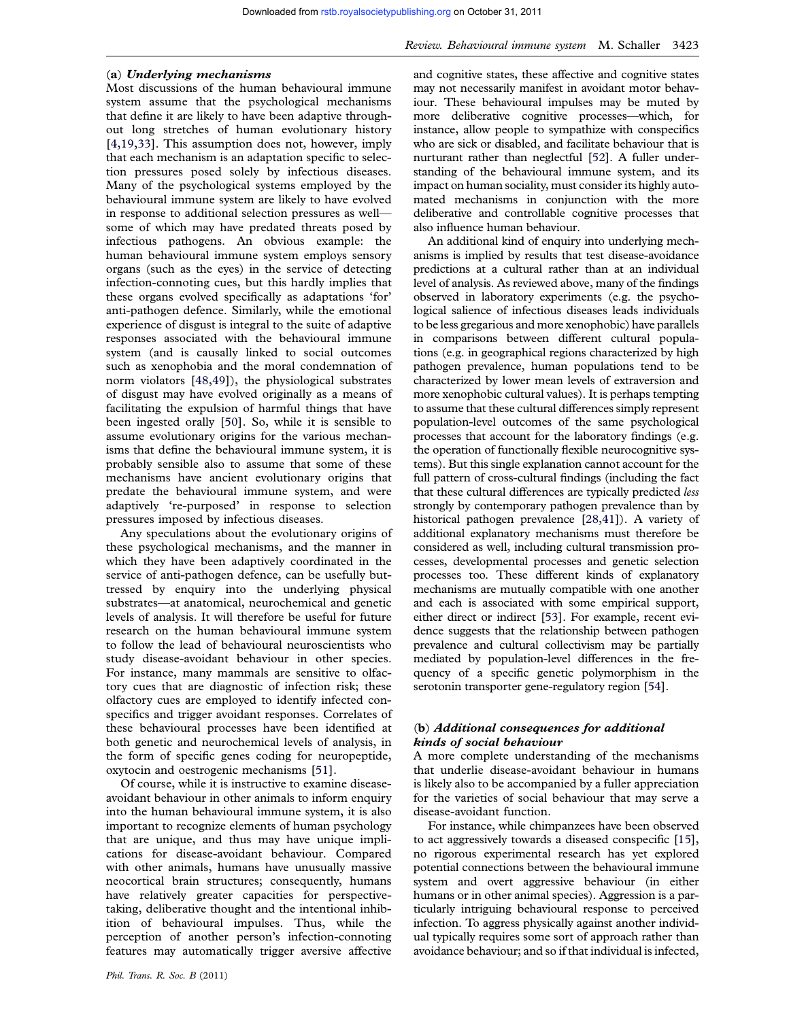#### (a) Underlying mechanisms

Most discussions of the human behavioural immune system assume that the psychological mechanisms that define it are likely to have been adaptive throughout long stretches of human evolutionary history [4,19,33]. This assumption does not, however, imply that each mechanism is an adaptation specific to selection pressures posed solely by infectious diseases. Many of the psychological systems employed by the behavioural immune system are likely to have evolved in response to additional selection pressures as well some of which may have predated threats posed by infectious pathogens. An obvious example: the human behavioural immune system employs sensory organs (such as the eyes) in the service of detecting infection-connoting cues, but this hardly implies that these organs evolved specifically as adaptations 'for' anti-pathogen defence. Similarly, while the emotional experience of disgust is integral to the suite of adaptive responses associated with the behavioural immune system (and is causally linked to social outcomes such as xenophobia and the moral condemnation of norm violators [48,49]), the physiological substrates of disgust may have evolved originally as a means of facilitating the expulsion of harmful things that have been ingested orally [50]. So, while it is sensible to assume evolutionary origins for the various mechanisms that define the behavioural immune system, it is probably sensible also to assume that some of these mechanisms have ancient evolutionary origins that predate the behavioural immune system, and were adaptively 're-purposed' in response to selection pressures imposed by infectious diseases.

Any speculations about the evolutionary origins of these psychological mechanisms, and the manner in which they have been adaptively coordinated in the service of anti-pathogen defence, can be usefully buttressed by enquiry into the underlying physical substrates—at anatomical, neurochemical and genetic levels of analysis. It will therefore be useful for future research on the human behavioural immune system to follow the lead of behavioural neuroscientists who study disease-avoidant behaviour in other species. For instance, many mammals are sensitive to olfactory cues that are diagnostic of infection risk; these olfactory cues are employed to identify infected conspecifics and trigger avoidant responses. Correlates of these behavioural processes have been identified at both genetic and neurochemical levels of analysis, in the form of specific genes coding for neuropeptide, oxytocin and oestrogenic mechanisms [51].

Of course, while it is instructive to examine diseaseavoidant behaviour in other animals to inform enquiry into the human behavioural immune system, it is also important to recognize elements of human psychology that are unique, and thus may have unique implications for disease-avoidant behaviour. Compared with other animals, humans have unusually massive neocortical brain structures; consequently, humans have relatively greater capacities for perspectivetaking, deliberative thought and the intentional inhibition of behavioural impulses. Thus, while the perception of another person's infection-connoting features may automatically trigger aversive affective and cognitive states, these affective and cognitive states may not necessarily manifest in avoidant motor behaviour. These behavioural impulses may be muted by more deliberative cognitive processes—which, for instance, allow people to sympathize with conspecifics who are sick or disabled, and facilitate behaviour that is nurturant rather than neglectful [52]. A fuller understanding of the behavioural immune system, and its impact on human sociality, must consider its highly automated mechanisms in conjunction with the more deliberative and controllable cognitive processes that also influence human behaviour.

An additional kind of enquiry into underlying mechanisms is implied by results that test disease-avoidance predictions at a cultural rather than at an individual level of analysis. As reviewed above, many of the findings observed in laboratory experiments (e.g. the psychological salience of infectious diseases leads individuals to be less gregarious and more xenophobic) have parallels in comparisons between different cultural populations (e.g. in geographical regions characterized by high pathogen prevalence, human populations tend to be characterized by lower mean levels of extraversion and more xenophobic cultural values). It is perhaps tempting to assume that these cultural differences simply represent population-level outcomes of the same psychological processes that account for the laboratory findings (e.g. the operation of functionally flexible neurocognitive systems). But this single explanation cannot account for the full pattern of cross-cultural findings (including the fact that these cultural differences are typically predicted *less* strongly by contemporary pathogen prevalence than by historical pathogen prevalence [28,41]). A variety of additional explanatory mechanisms must therefore be considered as well, including cultural transmission processes, developmental processes and genetic selection processes too. These different kinds of explanatory mechanisms are mutually compatible with one another and each is associated with some empirical support, either direct or indirect [53]. For example, recent evidence suggests that the relationship between pathogen prevalence and cultural collectivism may be partially mediated by population-level differences in the frequency of a specific genetic polymorphism in the serotonin transporter gene-regulatory region [54].

## (b) Additional consequences for additional kinds of social behaviour

A more complete understanding of the mechanisms that underlie disease-avoidant behaviour in humans is likely also to be accompanied by a fuller appreciation for the varieties of social behaviour that may serve a disease-avoidant function.

For instance, while chimpanzees have been observed to act aggressively towards a diseased conspecific [15], no rigorous experimental research has yet explored potential connections between the behavioural immune system and overt aggressive behaviour (in either humans or in other animal species). Aggression is a particularly intriguing behavioural response to perceived infection. To aggress physically against another individual typically requires some sort of approach rather than avoidance behaviour; and so if that individual is infected,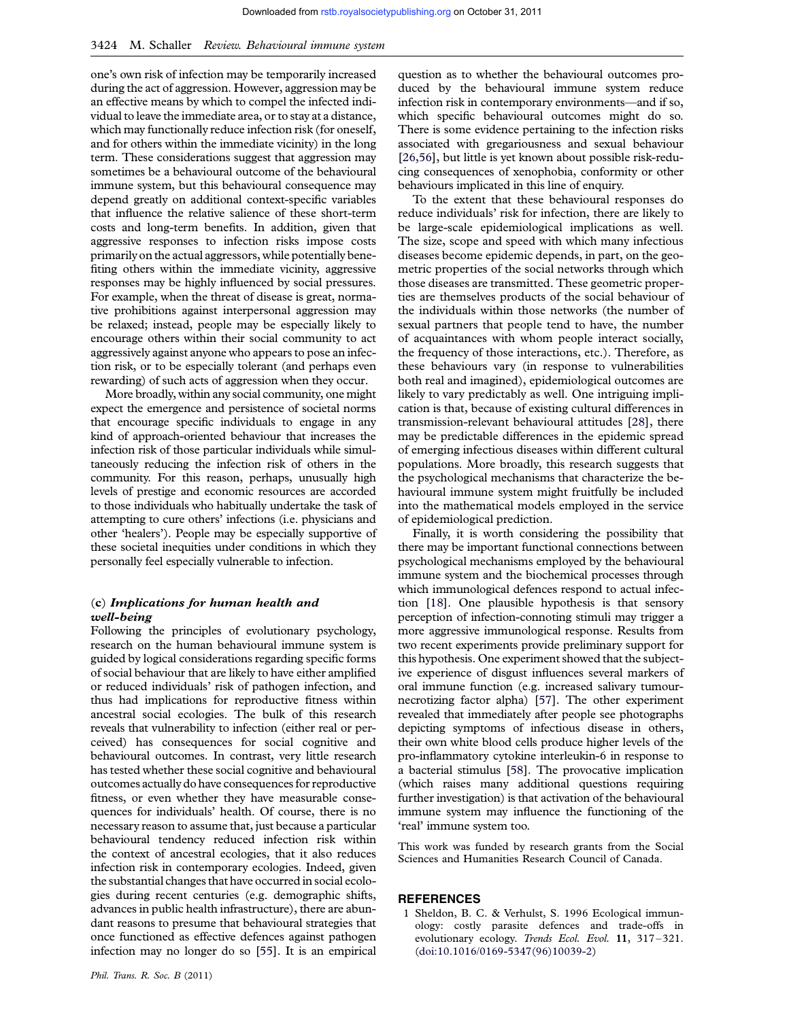one's own risk of infection may be temporarily increased during the act of aggression. However, aggression may be an effective means by which to compel the infected individual to leave the immediate area, or to stay at a distance, which may functionally reduce infection risk (for oneself, and for others within the immediate vicinity) in the long term. These considerations suggest that aggression may sometimes be a behavioural outcome of the behavioural immune system, but this behavioural consequence may depend greatly on additional context-specific variables that influence the relative salience of these short-term costs and long-term benefits. In addition, given that aggressive responses to infection risks impose costs primarily on the actual aggressors, while potentially benefiting others within the immediate vicinity, aggressive responses may be highly influenced by social pressures. For example, when the threat of disease is great, normative prohibitions against interpersonal aggression may be relaxed; instead, people may be especially likely to encourage others within their social community to act aggressively against anyone who appears to pose an infection risk, or to be especially tolerant (and perhaps even rewarding) of such acts of aggression when they occur.

More broadly, within any social community, one might expect the emergence and persistence of societal norms that encourage specific individuals to engage in any kind of approach-oriented behaviour that increases the infection risk of those particular individuals while simultaneously reducing the infection risk of others in the community. For this reason, perhaps, unusually high levels of prestige and economic resources are accorded to those individuals who habitually undertake the task of attempting to cure others' infections (i.e. physicians and other 'healers'). People may be especially supportive of these societal inequities under conditions in which they personally feel especially vulnerable to infection.

### (c) Implications for human health and well-being

Following the principles of evolutionary psychology, research on the human behavioural immune system is guided by logical considerations regarding specific forms of social behaviour that are likely to have either amplified or reduced individuals' risk of pathogen infection, and thus had implications for reproductive fitness within ancestral social ecologies. The bulk of this research reveals that vulnerability to infection (either real or perceived) has consequences for social cognitive and behavioural outcomes. In contrast, very little research has tested whether these social cognitive and behavioural outcomes actually do have consequences for reproductive fitness, or even whether they have measurable consequences for individuals' health. Of course, there is no necessary reason to assume that, just because a particular behavioural tendency reduced infection risk within the context of ancestral ecologies, that it also reduces infection risk in contemporary ecologies. Indeed, given the substantial changes that have occurred in social ecologies during recent centuries (e.g. demographic shifts, advances in public health infrastructure), there are abundant reasons to presume that behavioural strategies that once functioned as effective defences against pathogen infection may no longer do so [55]. It is an empirical

question as to whether the behavioural outcomes produced by the behavioural immune system reduce infection risk in contemporary environments—and if so, which specific behavioural outcomes might do so. There is some evidence pertaining to the infection risks associated with gregariousness and sexual behaviour [26,56], but little is yet known about possible risk-reducing consequences of xenophobia, conformity or other behaviours implicated in this line of enquiry.

To the extent that these behavioural responses do reduce individuals' risk for infection, there are likely to be large-scale epidemiological implications as well. The size, scope and speed with which many infectious diseases become epidemic depends, in part, on the geometric properties of the social networks through which those diseases are transmitted. These geometric properties are themselves products of the social behaviour of the individuals within those networks (the number of sexual partners that people tend to have, the number of acquaintances with whom people interact socially, the frequency of those interactions, etc.). Therefore, as these behaviours vary (in response to vulnerabilities both real and imagined), epidemiological outcomes are likely to vary predictably as well. One intriguing implication is that, because of existing cultural differences in transmission-relevant behavioural attitudes [28], there may be predictable differences in the epidemic spread of emerging infectious diseases within different cultural populations. More broadly, this research suggests that the psychological mechanisms that characterize the behavioural immune system might fruitfully be included into the mathematical models employed in the service of epidemiological prediction.

Finally, it is worth considering the possibility that there may be important functional connections between psychological mechanisms employed by the behavioural immune system and the biochemical processes through which immunological defences respond to actual infection [18]. One plausible hypothesis is that sensory perception of infection-connoting stimuli may trigger a more aggressive immunological response. Results from two recent experiments provide preliminary support for this hypothesis. One experiment showed that the subjective experience of disgust influences several markers of oral immune function (e.g. increased salivary tumournecrotizing factor alpha) [57]. The other experiment revealed that immediately after people see photographs depicting symptoms of infectious disease in others, their own white blood cells produce higher levels of the pro-inflammatory cytokine interleukin-6 in response to a bacterial stimulus [58]. The provocative implication (which raises many additional questions requiring further investigation) is that activation of the behavioural immune system may influence the functioning of the 'real' immune system too.

This work was funded by research grants from the Social Sciences and Humanities Research Council of Canada.

### **REFERENCES**

1 Sheldon, B. C. & Verhulst, S. 1996 Ecological immunology: costly parasite defences and trade-offs in evolutionary ecology. *Trends Ecol. Evol.* 11, 317-321. (doi:10.1016/0169-5347(96)10039-2)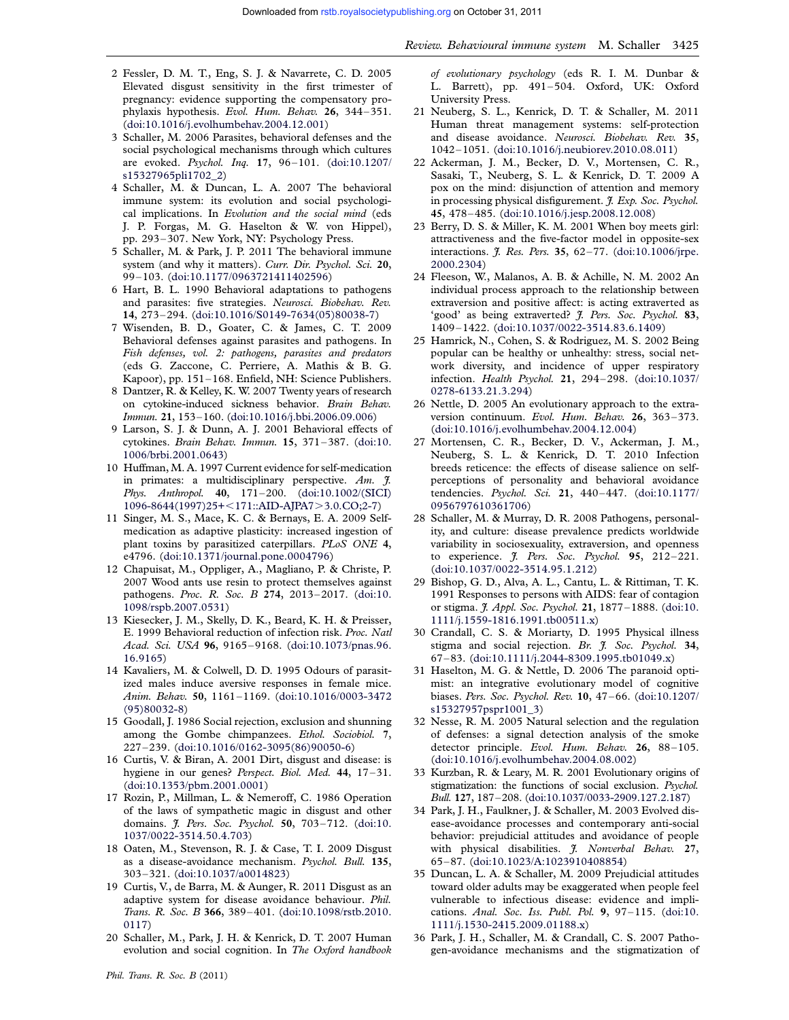*Review. Behavioural immune system* M. Schaller 3425

- 2 Fessler, D. M. T., Eng, S. J. & Navarrete, C. D. 2005 Elevated disgust sensitivity in the first trimester of pregnancy: evidence supporting the compensatory prophylaxis hypothesis. *Evol. Hum. Behav.* 26, 344–351. (doi:10.1016/j.evolhumbehav.2004.12.001)
- 3 Schaller, M. 2006 Parasites, behavioral defenses and the social psychological mechanisms through which cultures are evoked. *Psychol. Inq.* 17, 96–101. (doi:10.1207/ s15327965pli1702\_2)
- 4 Schaller, M. & Duncan, L. A. 2007 The behavioral immune system: its evolution and social psychological implications. In *Evolution and the social mind* (eds J. P. Forgas, M. G. Haselton & W. von Hippel), pp. 293–307. New York, NY: Psychology Press.
- 5 Schaller, M. & Park, J. P. 2011 The behavioral immune system (and why it matters). *Curr. Dir. Psychol. Sci.* 20, 99–103. (doi:10.1177/0963721411402596)
- 6 Hart, B. L. 1990 Behavioral adaptations to pathogens and parasites: five strategies. *Neurosci. Biobehav. Rev.* 14, 273 –294. (doi:10.1016/S0149-7634(05)80038-7)
- 7 Wisenden, B. D., Goater, C. & James, C. T. 2009 Behavioral defenses against parasites and pathogens. In *Fish defenses, vol. 2: pathogens, parasites and predators* (eds G. Zaccone, C. Perriere, A. Mathis & B. G. Kapoor), pp. 151–168. Enfield, NH: Science Publishers.
- 8 Dantzer, R. & Kelley, K. W. 2007 Twenty years of research on cytokine-induced sickness behavior. *Brain Behav. Immun.* 21, 153–160. (doi:10.1016/j.bbi.2006.09.006)
- 9 Larson, S. J. & Dunn, A. J. 2001 Behavioral effects of cytokines. *Brain Behav. Immun.* 15, 371–387. (doi:10. 1006/brbi.2001.0643)
- 10 Huffman, M. A. 1997 Current evidence for self-medication in primates: a multidisciplinary perspective. *Am. J. Phys. Anthropol.* 40, 171–200. (doi:10.1002/(SICI)  $1096-8644(1997)25 + \le 171$ ::AID-AJPA7 $>$ 3.0.CO;2-7)
- 11 Singer, M. S., Mace, K. C. & Bernays, E. A. 2009 Selfmedication as adaptive plasticity: increased ingestion of plant toxins by parasitized caterpillars. *PLoS ONE* 4, e4796. (doi:10.1371/journal.pone.0004796)
- 12 Chapuisat, M., Oppliger, A., Magliano, P. & Christe, P. 2007 Wood ants use resin to protect themselves against pathogens. *Proc. R. Soc. B* 274, 2013–2017. (doi:10. 1098/rspb.2007.0531)
- 13 Kiesecker, J. M., Skelly, D. K., Beard, K. H. & Preisser, E. 1999 Behavioral reduction of infection risk. *Proc. Natl Acad. Sci. USA* 96, 9165–9168. (doi:10.1073/pnas.96. 16.9165)
- 14 Kavaliers, M. & Colwell, D. D. 1995 Odours of parasitized males induce aversive responses in female mice. *Anim. Behav.* 50, 1161–1169. (doi:10.1016/0003-3472 (95)80032-8)
- 15 Goodall, J. 1986 Social rejection, exclusion and shunning among the Gombe chimpanzees. *Ethol. Sociobiol.* 7, 227 –239. (doi:10.1016/0162-3095(86)90050-6)
- 16 Curtis, V. & Biran, A. 2001 Dirt, disgust and disease: is hygiene in our genes? *Perspect. Biol. Med.* 44, 17–31. (doi:10.1353/pbm.2001.0001)
- 17 Rozin, P., Millman, L. & Nemeroff, C. 1986 Operation of the laws of sympathetic magic in disgust and other domains. *J. Pers. Soc. Psychol.* 50, 703 –712. (doi:10. 1037/0022-3514.50.4.703)
- 18 Oaten, M., Stevenson, R. J. & Case, T. I. 2009 Disgust as a disease-avoidance mechanism. *Psychol. Bull.* 135, 303 –321. (doi:10.1037/a0014823)
- 19 Curtis, V., de Barra, M. & Aunger, R. 2011 Disgust as an adaptive system for disease avoidance behaviour. *Phil. Trans. R. Soc. B* 366, 389 –401. (doi:10.1098/rstb.2010. 0117)
- 20 Schaller, M., Park, J. H. & Kenrick, D. T. 2007 Human evolution and social cognition. In *The Oxford handbook*

*of evolutionary psychology* (eds R. I. M. Dunbar & L. Barrett), pp. 491–504. Oxford, UK: Oxford University Press.

- 21 Neuberg, S. L., Kenrick, D. T. & Schaller, M. 2011 Human threat management systems: self-protection and disease avoidance. *Neurosci. Biobehav. Rev.* 35, 1042 –1051. (doi:10.1016/j.neubiorev.2010.08.011)
- 22 Ackerman, J. M., Becker, D. V., Mortensen, C. R., Sasaki, T., Neuberg, S. L. & Kenrick, D. T. 2009 A pox on the mind: disjunction of attention and memory in processing physical disfigurement. *J. Exp. Soc. Psychol.* 45, 478–485. (doi:10.1016/j.jesp.2008.12.008)
- 23 Berry, D. S. & Miller, K. M. 2001 When boy meets girl: attractiveness and the five-factor model in opposite-sex interactions. *J. Res. Pers.* 35, 62–77. (doi:10.1006/jrpe. 2000.2304)
- 24 Fleeson, W., Malanos, A. B. & Achille, N. M. 2002 An individual process approach to the relationship between extraversion and positive affect: is acting extraverted as 'good' as being extraverted? *J. Pers. Soc. Psychol.* 83, 1409 –1422. (doi:10.1037/0022-3514.83.6.1409)
- 25 Hamrick, N., Cohen, S. & Rodriguez, M. S. 2002 Being popular can be healthy or unhealthy: stress, social network diversity, and incidence of upper respiratory infection. *Health Psychol.* 21, 294 –298. (doi:10.1037/ 0278-6133.21.3.294)
- 26 Nettle, D. 2005 An evolutionary approach to the extraversion continuum. *Evol. Hum. Behav.* 26, 363-373. (doi:10.1016/j.evolhumbehav.2004.12.004)
- 27 Mortensen, C. R., Becker, D. V., Ackerman, J. M., Neuberg, S. L. & Kenrick, D. T. 2010 Infection breeds reticence: the effects of disease salience on selfperceptions of personality and behavioral avoidance tendencies. Psychol. Sci. 21, 440-447. (doi:10.1177/ 0956797610361706)
- 28 Schaller, M. & Murray, D. R. 2008 Pathogens, personality, and culture: disease prevalence predicts worldwide variability in sociosexuality, extraversion, and openness to experience. *J. Pers. Soc. Psychol.* 95, 212–221. (doi:10.1037/0022-3514.95.1.212)
- 29 Bishop, G. D., Alva, A. L., Cantu, L. & Rittiman, T. K. 1991 Responses to persons with AIDS: fear of contagion or stigma. *J. Appl. Soc. Psychol.* 21, 1877 –1888. (doi:10. 1111/j.1559-1816.1991.tb00511.x)
- 30 Crandall, C. S. & Moriarty, D. 1995 Physical illness stigma and social rejection. *Br. J. Soc. Psychol.* 34, 67–83. (doi:10.1111/j.2044-8309.1995.tb01049.x)
- 31 Haselton, M. G. & Nettle, D. 2006 The paranoid optimist: an integrative evolutionary model of cognitive biases. *Pers. Soc. Psychol. Rev.* 10, 47–66. (doi:10.1207/ s15327957pspr1001\_3)
- 32 Nesse, R. M. 2005 Natural selection and the regulation of defenses: a signal detection analysis of the smoke detector principle. *Evol. Hum. Behav.* 26, 88–105. (doi:10.1016/j.evolhumbehav.2004.08.002)
- 33 Kurzban, R. & Leary, M. R. 2001 Evolutionary origins of stigmatization: the functions of social exclusion. *Psychol. Bull.* 127, 187–208. (doi:10.1037/0033-2909.127.2.187)
- 34 Park, J. H., Faulkner, J. & Schaller, M. 2003 Evolved disease-avoidance processes and contemporary anti-social behavior: prejudicial attitudes and avoidance of people with physical disabilities. *J. Nonverbal Behav.* 27, 65–87. (doi:10.1023/A:1023910408854)
- 35 Duncan, L. A. & Schaller, M. 2009 Prejudicial attitudes toward older adults may be exaggerated when people feel vulnerable to infectious disease: evidence and implications. *Anal. Soc. Iss. Publ. Pol.* 9, 97–115. (doi:10. 1111/j.1530-2415.2009.01188.x)
- 36 Park, J. H., Schaller, M. & Crandall, C. S. 2007 Pathogen-avoidance mechanisms and the stigmatization of